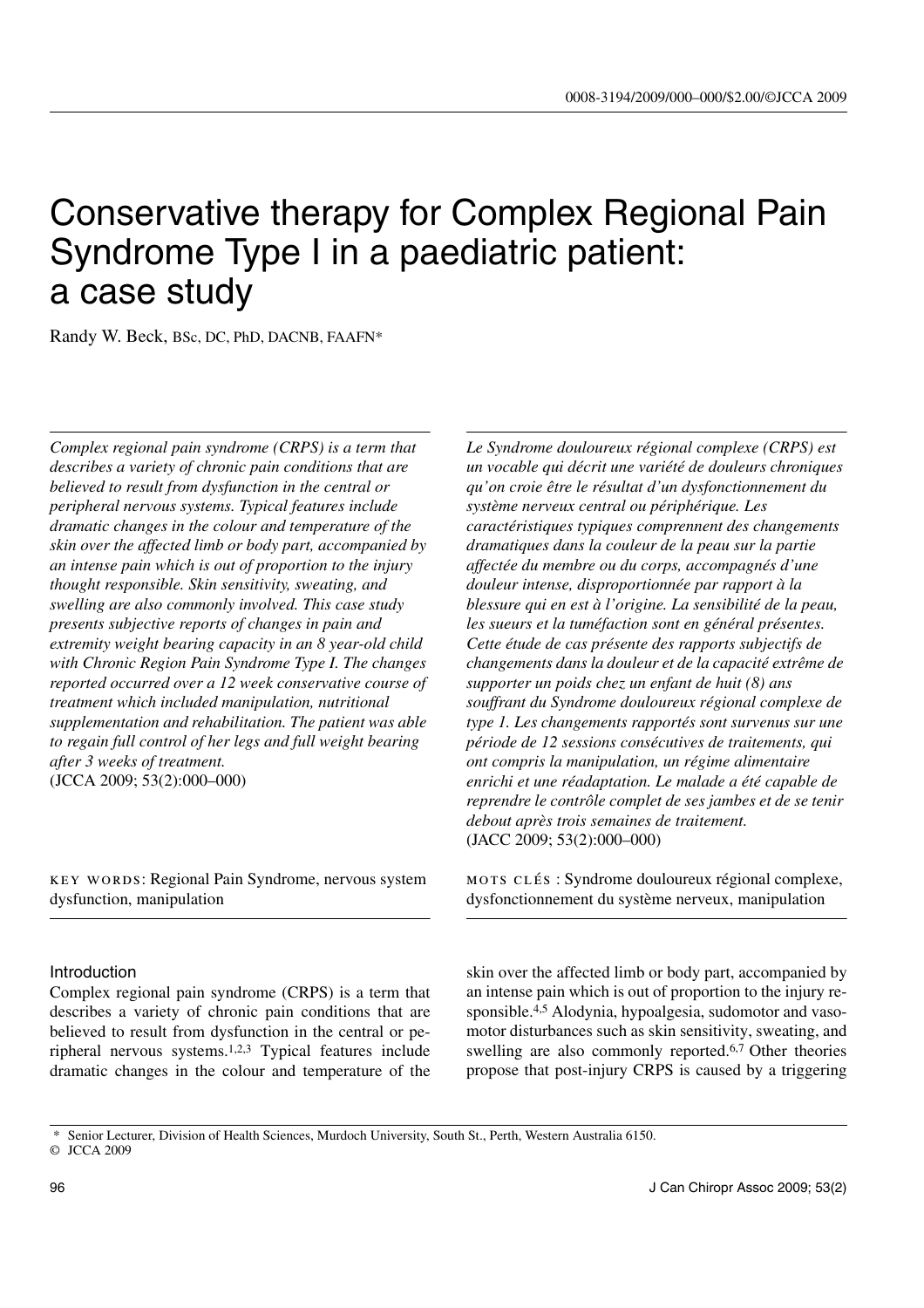# Conservative therapy for Complex Regional Pain Syndrome Type I in a paediatric patient: a case study

Randy W. Beck, BSc, DC, PhD, DACNB, FAAFN\*

*Complex regional pain syndrome (CRPS) is a term that describes a variety of chronic pain conditions that are believed to result from dysfunction in the central or peripheral nervous systems. Typical features include dramatic changes in the colour and temperature of the skin over the affected limb or body part, accompanied by an intense pain which is out of proportion to the injury thought responsible. Skin sensitivity, sweating, and swelling are also commonly involved. This case study presents subjective reports of changes in pain and extremity weight bearing capacity in an 8 year-old child with Chronic Region Pain Syndrome Type I. The changes reported occurred over a 12 week conservative course of treatment which included manipulation, nutritional supplementation and rehabilitation. The patient was able to regain full control of her legs and full weight bearing after 3 weeks of treatment.* (JCCA 2009; 53(2):000–000)

key words: Regional Pain Syndrome, nervous system dysfunction, manipulation

## Introduction

Complex regional pain syndrome (CRPS) is a term that describes a variety of chronic pain conditions that are believed to result from dysfunction in the central or peripheral nervous systems.1,2,3 Typical features include dramatic changes in the colour and temperature of the *Le Syndrome douloureux régional complexe (CRPS) est un vocable qui décrit une variété de douleurs chroniques qu'on croie être le résultat d'un dysfonctionnement du système nerveux central ou périphérique. Les caractéristiques typiques comprennent des changements dramatiques dans la couleur de la peau sur la partie affectée du membre ou du corps, accompagnés d'une douleur intense, disproportionnée par rapport à la blessure qui en est à l'origine. La sensibilité de la peau, les sueurs et la tuméfaction sont en général présentes. Cette étude de cas présente des rapports subjectifs de changements dans la douleur et de la capacité extrême de supporter un poids chez un enfant de huit (8) ans souffrant du Syndrome douloureux régional complexe de type 1. Les changements rapportés sont survenus sur une période de 12 sessions consécutives de traitements, qui ont compris la manipulation, un régime alimentaire enrichi et une réadaptation. Le malade a été capable de reprendre le contrôle complet de ses jambes et de se tenir debout après trois semaines de traitement.* (JACC 2009; 53(2):000–000)

mots clés : Syndrome douloureux régional complexe, dysfonctionnement du système nerveux, manipulation

skin over the affected limb or body part, accompanied by an intense pain which is out of proportion to the injury responsible.4,5 Alodynia, hypoalgesia, sudomotor and vasomotor disturbances such as skin sensitivity, sweating, and swelling are also commonly reported.6,7 Other theories propose that post-injury CRPS is caused by a triggering

\* Senior Lecturer, Division of Health Sciences, Murdoch University, South St., Perth, Western Australia 6150.

<sup>©</sup> JCCA 2009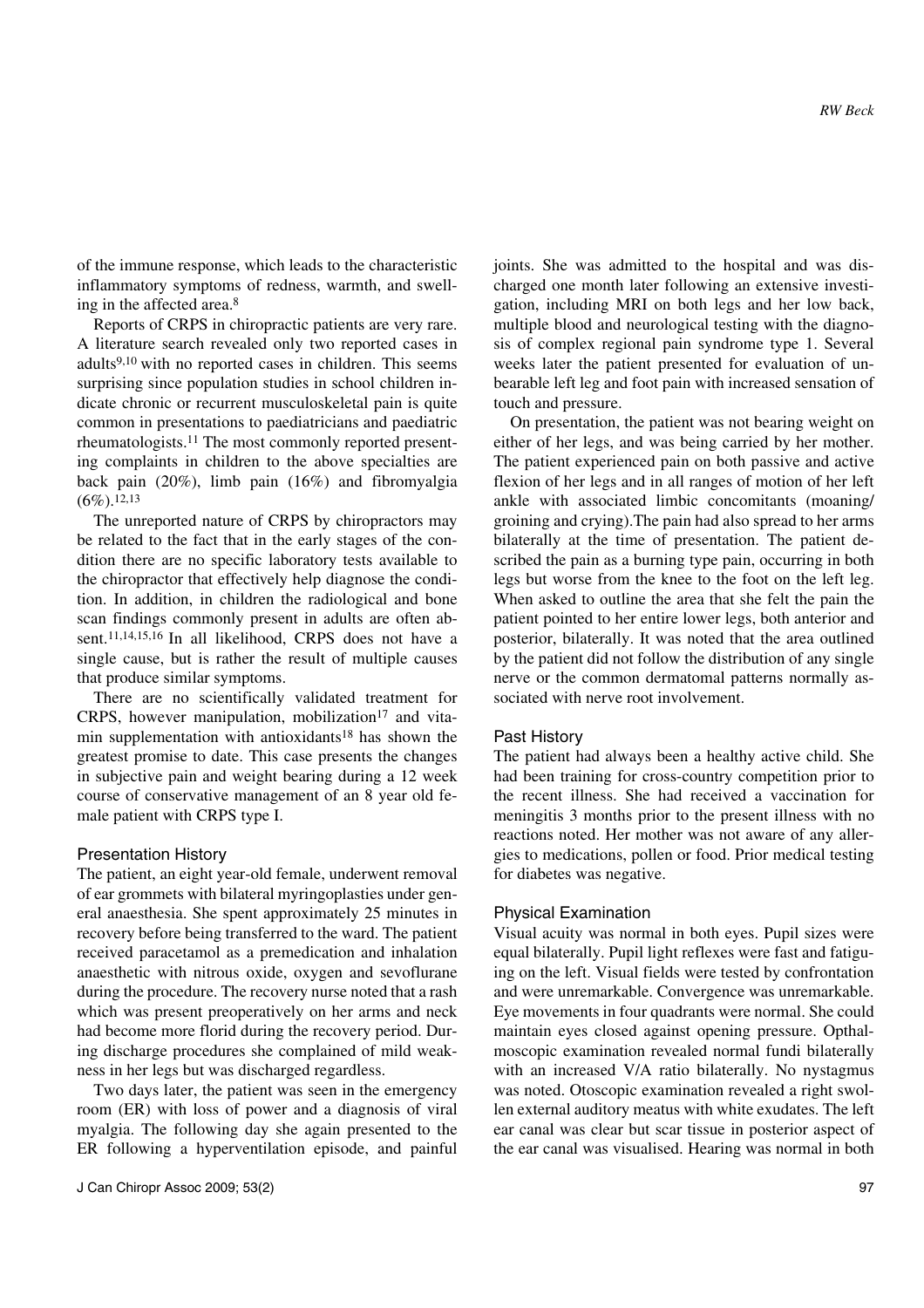of the immune response, which leads to the characteristic inflammatory symptoms of redness, warmth, and swelling in the affected area.8

Reports of CRPS in chiropractic patients are very rare. A literature search revealed only two reported cases in adults<sup>9,10</sup> with no reported cases in children. This seems surprising since population studies in school children indicate chronic or recurrent musculoskeletal pain is quite common in presentations to paediatricians and paediatric rheumatologists.11 The most commonly reported presenting complaints in children to the above specialties are back pain (20%), limb pain (16%) and fibromyalgia  $(6\%)$ . 12,13

The unreported nature of CRPS by chiropractors may be related to the fact that in the early stages of the condition there are no specific laboratory tests available to the chiropractor that effectively help diagnose the condition. In addition, in children the radiological and bone scan findings commonly present in adults are often absent.11,14,15,16 In all likelihood, CRPS does not have a single cause, but is rather the result of multiple causes that produce similar symptoms.

There are no scientifically validated treatment for CRPS, however manipulation, mobilization $17$  and vitamin supplementation with antioxidants<sup>18</sup> has shown the greatest promise to date. This case presents the changes in subjective pain and weight bearing during a 12 week course of conservative management of an 8 year old female patient with CRPS type I.

## Presentation History

The patient, an eight year-old female, underwent removal of ear grommets with bilateral myringoplasties under general anaesthesia. She spent approximately 25 minutes in recovery before being transferred to the ward. The patient received paracetamol as a premedication and inhalation anaesthetic with nitrous oxide, oxygen and sevoflurane during the procedure. The recovery nurse noted that a rash which was present preoperatively on her arms and neck had become more florid during the recovery period. During discharge procedures she complained of mild weakness in her legs but was discharged regardless.

Two days later, the patient was seen in the emergency room (ER) with loss of power and a diagnosis of viral myalgia. The following day she again presented to the ER following a hyperventilation episode, and painful joints. She was admitted to the hospital and was discharged one month later following an extensive investigation, including MRI on both legs and her low back, multiple blood and neurological testing with the diagnosis of complex regional pain syndrome type 1. Several weeks later the patient presented for evaluation of unbearable left leg and foot pain with increased sensation of touch and pressure.

On presentation, the patient was not bearing weight on either of her legs, and was being carried by her mother. The patient experienced pain on both passive and active flexion of her legs and in all ranges of motion of her left ankle with associated limbic concomitants (moaning/ groining and crying).The pain had also spread to her arms bilaterally at the time of presentation. The patient described the pain as a burning type pain, occurring in both legs but worse from the knee to the foot on the left leg. When asked to outline the area that she felt the pain the patient pointed to her entire lower legs, both anterior and posterior, bilaterally. It was noted that the area outlined by the patient did not follow the distribution of any single nerve or the common dermatomal patterns normally associated with nerve root involvement.

## Past History

The patient had always been a healthy active child. She had been training for cross-country competition prior to the recent illness. She had received a vaccination for meningitis 3 months prior to the present illness with no reactions noted. Her mother was not aware of any allergies to medications, pollen or food. Prior medical testing for diabetes was negative.

#### Physical Examination

Visual acuity was normal in both eyes. Pupil sizes were equal bilaterally. Pupil light reflexes were fast and fatiguing on the left. Visual fields were tested by confrontation and were unremarkable. Convergence was unremarkable. Eye movements in four quadrants were normal. She could maintain eyes closed against opening pressure. Opthalmoscopic examination revealed normal fundi bilaterally with an increased V/A ratio bilaterally. No nystagmus was noted. Otoscopic examination revealed a right swollen external auditory meatus with white exudates. The left ear canal was clear but scar tissue in posterior aspect of the ear canal was visualised. Hearing was normal in both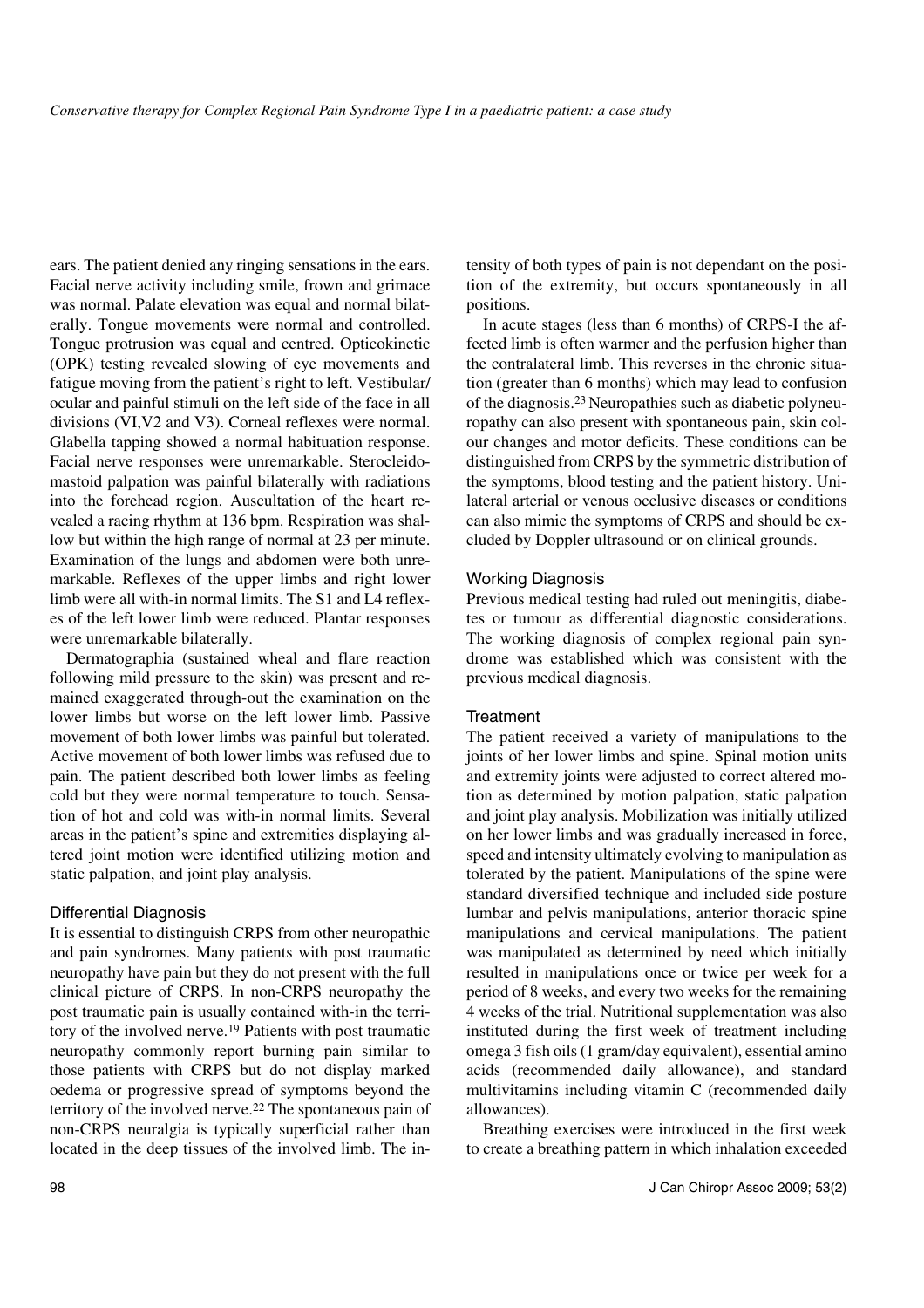ears. The patient denied any ringing sensations in the ears. Facial nerve activity including smile, frown and grimace was normal. Palate elevation was equal and normal bilaterally. Tongue movements were normal and controlled. Tongue protrusion was equal and centred. Opticokinetic (OPK) testing revealed slowing of eye movements and fatigue moving from the patient's right to left. Vestibular/ ocular and painful stimuli on the left side of the face in all divisions (VI,V2 and V3). Corneal reflexes were normal. Glabella tapping showed a normal habituation response. Facial nerve responses were unremarkable. Sterocleidomastoid palpation was painful bilaterally with radiations into the forehead region. Auscultation of the heart revealed a racing rhythm at 136 bpm. Respiration was shallow but within the high range of normal at 23 per minute. Examination of the lungs and abdomen were both unremarkable. Reflexes of the upper limbs and right lower limb were all with-in normal limits. The S1 and L4 reflexes of the left lower limb were reduced. Plantar responses were unremarkable bilaterally.

Dermatographia (sustained wheal and flare reaction following mild pressure to the skin) was present and remained exaggerated through-out the examination on the lower limbs but worse on the left lower limb. Passive movement of both lower limbs was painful but tolerated. Active movement of both lower limbs was refused due to pain. The patient described both lower limbs as feeling cold but they were normal temperature to touch. Sensation of hot and cold was with-in normal limits. Several areas in the patient's spine and extremities displaying altered joint motion were identified utilizing motion and static palpation, and joint play analysis.

## Differential Diagnosis

It is essential to distinguish CRPS from other neuropathic and pain syndromes. Many patients with post traumatic neuropathy have pain but they do not present with the full clinical picture of CRPS. In non-CRPS neuropathy the post traumatic pain is usually contained with-in the territory of the involved nerve.19 Patients with post traumatic neuropathy commonly report burning pain similar to those patients with CRPS but do not display marked oedema or progressive spread of symptoms beyond the territory of the involved nerve.22 The spontaneous pain of non-CRPS neuralgia is typically superficial rather than located in the deep tissues of the involved limb. The intensity of both types of pain is not dependant on the position of the extremity, but occurs spontaneously in all positions.

In acute stages (less than 6 months) of CRPS-I the affected limb is often warmer and the perfusion higher than the contralateral limb. This reverses in the chronic situation (greater than 6 months) which may lead to confusion of the diagnosis.23 Neuropathies such as diabetic polyneuropathy can also present with spontaneous pain, skin colour changes and motor deficits. These conditions can be distinguished from CRPS by the symmetric distribution of the symptoms, blood testing and the patient history. Unilateral arterial or venous occlusive diseases or conditions can also mimic the symptoms of CRPS and should be excluded by Doppler ultrasound or on clinical grounds.

## Working Diagnosis

Previous medical testing had ruled out meningitis, diabetes or tumour as differential diagnostic considerations. The working diagnosis of complex regional pain syndrome was established which was consistent with the previous medical diagnosis.

## **Treatment**

The patient received a variety of manipulations to the joints of her lower limbs and spine. Spinal motion units and extremity joints were adjusted to correct altered motion as determined by motion palpation, static palpation and joint play analysis. Mobilization was initially utilized on her lower limbs and was gradually increased in force, speed and intensity ultimately evolving to manipulation as tolerated by the patient. Manipulations of the spine were standard diversified technique and included side posture lumbar and pelvis manipulations, anterior thoracic spine manipulations and cervical manipulations. The patient was manipulated as determined by need which initially resulted in manipulations once or twice per week for a period of 8 weeks, and every two weeks for the remaining 4 weeks of the trial. Nutritional supplementation was also instituted during the first week of treatment including omega 3 fish oils (1 gram/day equivalent), essential amino acids (recommended daily allowance), and standard multivitamins including vitamin C (recommended daily allowances).

Breathing exercises were introduced in the first week to create a breathing pattern in which inhalation exceeded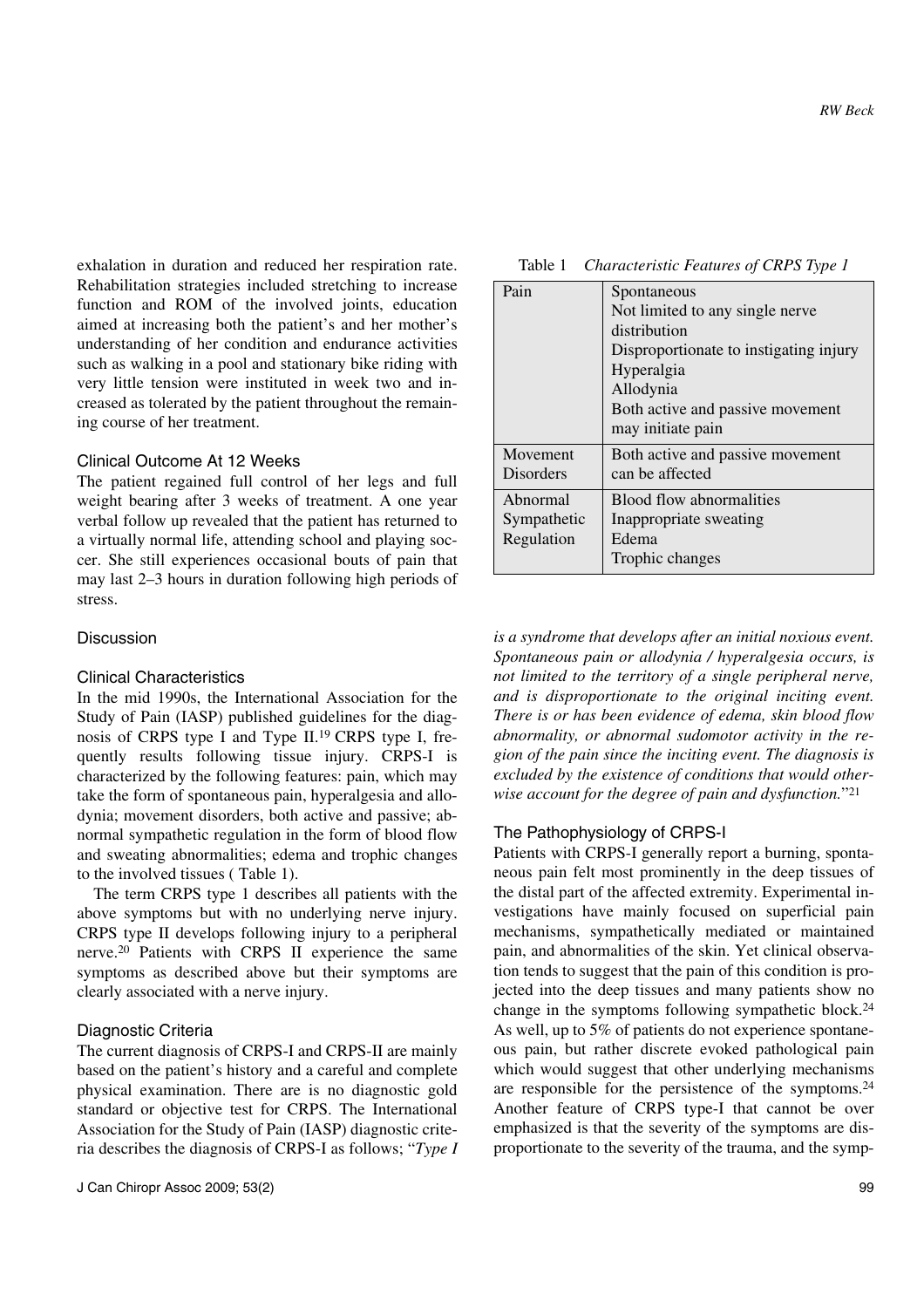exhalation in duration and reduced her respiration rate. Rehabilitation strategies included stretching to increase function and ROM of the involved joints, education aimed at increasing both the patient's and her mother's understanding of her condition and endurance activities such as walking in a pool and stationary bike riding with very little tension were instituted in week two and increased as tolerated by the patient throughout the remaining course of her treatment.

## Clinical Outcome At 12 Weeks

The patient regained full control of her legs and full weight bearing after 3 weeks of treatment. A one year verbal follow up revealed that the patient has returned to a virtually normal life, attending school and playing soccer. She still experiences occasional bouts of pain that may last 2–3 hours in duration following high periods of stress.

## Discussion

## Clinical Characteristics

In the mid 1990s, the International Association for the Study of Pain (IASP) published guidelines for the diagnosis of CRPS type I and Type II.19 CRPS type I, frequently results following tissue injury. CRPS-I is characterized by the following features: pain, which may take the form of spontaneous pain, hyperalgesia and allodynia; movement disorders, both active and passive; abnormal sympathetic regulation in the form of blood flow and sweating abnormalities; edema and trophic changes to the involved tissues ( Table 1).

The term CRPS type 1 describes all patients with the above symptoms but with no underlying nerve injury. CRPS type II develops following injury to a peripheral nerve.20 Patients with CRPS II experience the same symptoms as described above but their symptoms are clearly associated with a nerve injury.

## Diagnostic Criteria

The current diagnosis of CRPS-I and CRPS-II are mainly based on the patient's history and a careful and complete physical examination. There are is no diagnostic gold standard or objective test for CRPS. The International Association for the Study of Pain (IASP) diagnostic criteria describes the diagnosis of CRPS-I as follows; "*Type I*

| Table 1 | Characteristic Features of CRPS Type 1 |  |  |
|---------|----------------------------------------|--|--|
|         |                                        |  |  |

| Pain        | Spontaneous                            |
|-------------|----------------------------------------|
|             | Not limited to any single nerve        |
|             | distribution                           |
|             | Disproportionate to instigating injury |
|             | Hyperalgia                             |
|             | Allodynia                              |
|             | Both active and passive movement       |
|             | may initiate pain                      |
| Movement    | Both active and passive movement       |
| Disorders   | can be affected                        |
| Abnormal    | Blood flow abnormalities               |
| Sympathetic | Inappropriate sweating                 |
| Regulation  | Edema                                  |
|             | Trophic changes                        |

*is a syndrome that develops after an initial noxious event. Spontaneous pain or allodynia / hyperalgesia occurs, is not limited to the territory of a single peripheral nerve, and is disproportionate to the original inciting event. There is or has been evidence of edema, skin blood flow abnormality, or abnormal sudomotor activity in the region of the pain since the inciting event. The diagnosis is excluded by the existence of conditions that would otherwise account for the degree of pain and dysfunction.*"21

## The Pathophysiology of CRPS-I

Patients with CRPS-I generally report a burning, spontaneous pain felt most prominently in the deep tissues of the distal part of the affected extremity. Experimental investigations have mainly focused on superficial pain mechanisms, sympathetically mediated or maintained pain, and abnormalities of the skin. Yet clinical observation tends to suggest that the pain of this condition is projected into the deep tissues and many patients show no change in the symptoms following sympathetic block.24 As well, up to 5% of patients do not experience spontaneous pain, but rather discrete evoked pathological pain which would suggest that other underlying mechanisms are responsible for the persistence of the symptoms.24 Another feature of CRPS type-I that cannot be over emphasized is that the severity of the symptoms are disproportionate to the severity of the trauma, and the symp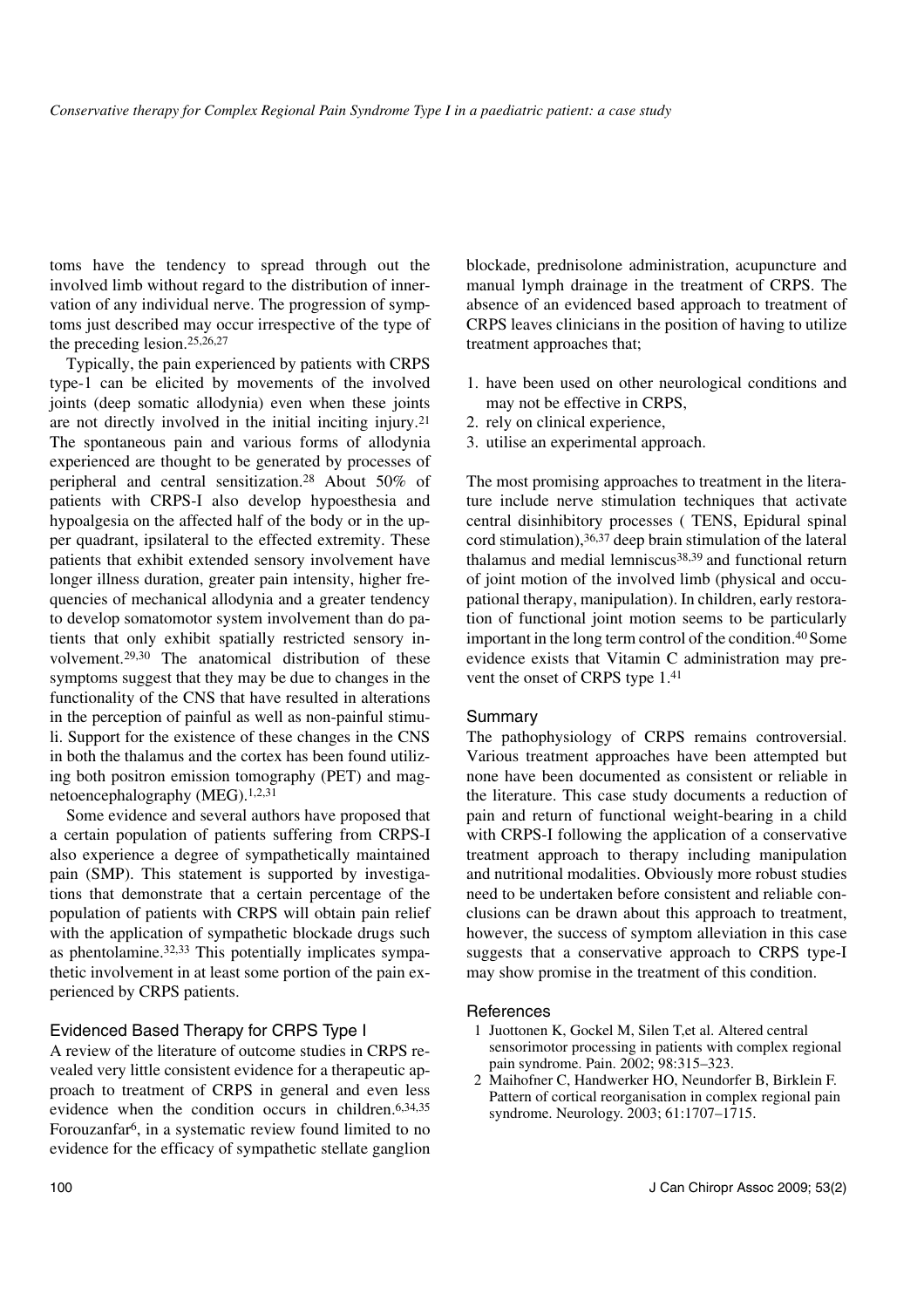toms have the tendency to spread through out the involved limb without regard to the distribution of innervation of any individual nerve. The progression of symptoms just described may occur irrespective of the type of the preceding lesion.25,26,27

Typically, the pain experienced by patients with CRPS type-1 can be elicited by movements of the involved joints (deep somatic allodynia) even when these joints are not directly involved in the initial inciting injury.21 The spontaneous pain and various forms of allodynia experienced are thought to be generated by processes of peripheral and central sensitization.28 About 50% of patients with CRPS-I also develop hypoesthesia and hypoalgesia on the affected half of the body or in the upper quadrant, ipsilateral to the effected extremity. These patients that exhibit extended sensory involvement have longer illness duration, greater pain intensity, higher frequencies of mechanical allodynia and a greater tendency to develop somatomotor system involvement than do patients that only exhibit spatially restricted sensory involvement.29,30 The anatomical distribution of these symptoms suggest that they may be due to changes in the functionality of the CNS that have resulted in alterations in the perception of painful as well as non-painful stimuli. Support for the existence of these changes in the CNS in both the thalamus and the cortex has been found utilizing both positron emission tomography (PET) and magnetoencephalography (MEG).1,2,31

Some evidence and several authors have proposed that a certain population of patients suffering from CRPS-I also experience a degree of sympathetically maintained pain (SMP). This statement is supported by investigations that demonstrate that a certain percentage of the population of patients with CRPS will obtain pain relief with the application of sympathetic blockade drugs such as phentolamine.32,33 This potentially implicates sympathetic involvement in at least some portion of the pain experienced by CRPS patients.

## Evidenced Based Therapy for CRPS Type I

A review of the literature of outcome studies in CRPS revealed very little consistent evidence for a therapeutic approach to treatment of CRPS in general and even less evidence when the condition occurs in children.6,34,35 Forouzanfar6, in a systematic review found limited to no evidence for the efficacy of sympathetic stellate ganglion blockade, prednisolone administration, acupuncture and manual lymph drainage in the treatment of CRPS. The absence of an evidenced based approach to treatment of CRPS leaves clinicians in the position of having to utilize treatment approaches that;

- 1. have been used on other neurological conditions and may not be effective in CRPS,
- 2. rely on clinical experience,
- 3. utilise an experimental approach.

The most promising approaches to treatment in the literature include nerve stimulation techniques that activate central disinhibitory processes ( TENS, Epidural spinal cord stimulation),36,37 deep brain stimulation of the lateral thalamus and medial lemniscus<sup>38,39</sup> and functional return of joint motion of the involved limb (physical and occupational therapy, manipulation). In children, early restoration of functional joint motion seems to be particularly important in the long term control of the condition.40 Some evidence exists that Vitamin C administration may prevent the onset of CRPS type 1.41

## Summary

The pathophysiology of CRPS remains controversial. Various treatment approaches have been attempted but none have been documented as consistent or reliable in the literature. This case study documents a reduction of pain and return of functional weight-bearing in a child with CRPS-I following the application of a conservative treatment approach to therapy including manipulation and nutritional modalities. Obviously more robust studies need to be undertaken before consistent and reliable conclusions can be drawn about this approach to treatment, however, the success of symptom alleviation in this case suggests that a conservative approach to CRPS type-I may show promise in the treatment of this condition.

## **References**

- 1 Juottonen K, Gockel M, Silen T,et al. Altered central sensorimotor processing in patients with complex regional pain syndrome. Pain. 2002; 98:315–323.
- 2 Maihofner C, Handwerker HO, Neundorfer B, Birklein F. Pattern of cortical reorganisation in complex regional pain syndrome. Neurology. 2003; 61:1707–1715.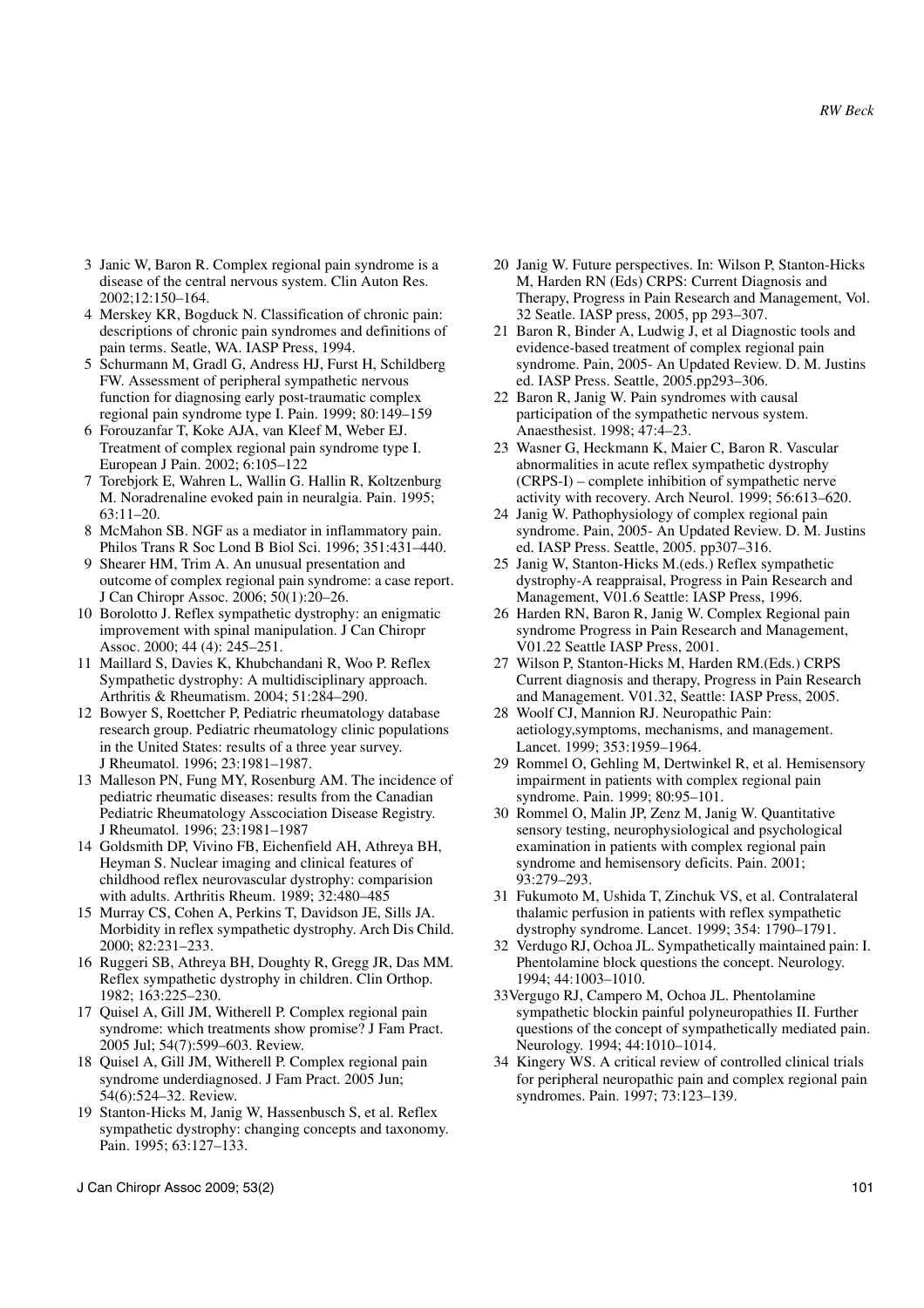- 3 Janic W, Baron R. Complex regional pain syndrome is a disease of the central nervous system. Clin Auton Res. 2002;12:150–164.
- 4 Merskey KR, Bogduck N. Classification of chronic pain: descriptions of chronic pain syndromes and definitions of pain terms. Seatle, WA. IASP Press, 1994.
- 5 Schurmann M, Gradl G, Andress HJ, Furst H, Schildberg FW. Assessment of peripheral sympathetic nervous function for diagnosing early post-traumatic complex regional pain syndrome type I. Pain. 1999; 80:149–159
- 6 Forouzanfar T, Koke AJA, van Kleef M, Weber EJ. Treatment of complex regional pain syndrome type I. European J Pain. 2002; 6:105–122
- 7 Torebjork E, Wahren L, Wallin G. Hallin R, Koltzenburg M. Noradrenaline evoked pain in neuralgia. Pain. 1995; 63:11–20.
- 8 McMahon SB. NGF as a mediator in inflammatory pain. Philos Trans R Soc Lond B Biol Sci. 1996; 351:431–440.
- 9 Shearer HM, Trim A. An unusual presentation and outcome of complex regional pain syndrome: a case report. J Can Chiropr Assoc. 2006; 50(1):20–26.
- 10 Borolotto J. Reflex sympathetic dystrophy: an enigmatic improvement with spinal manipulation. J Can Chiropr Assoc. 2000; 44 (4): 245–251.
- 11 Maillard S, Davies K, Khubchandani R, Woo P. Reflex Sympathetic dystrophy: A multidisciplinary approach. Arthritis & Rheumatism. 2004; 51:284–290.
- 12 Bowyer S, Roettcher P, Pediatric rheumatology database research group. Pediatric rheumatology clinic populations in the United States: results of a three year survey. J Rheumatol. 1996; 23:1981–1987.
- 13 Malleson PN, Fung MY, Rosenburg AM. The incidence of pediatric rheumatic diseases: results from the Canadian Pediatric Rheumatology Asscociation Disease Registry. J Rheumatol. 1996; 23:1981–1987
- 14 Goldsmith DP, Vivino FB, Eichenfield AH, Athreya BH, Heyman S. Nuclear imaging and clinical features of childhood reflex neurovascular dystrophy: comparision with adults. Arthritis Rheum. 1989; 32:480–485
- 15 Murray CS, Cohen A, Perkins T, Davidson JE, Sills JA. Morbidity in reflex sympathetic dystrophy. Arch Dis Child. 2000; 82:231–233.
- 16 Ruggeri SB, Athreya BH, Doughty R, Gregg JR, Das MM. Reflex sympathetic dystrophy in children. Clin Orthop. 1982; 163:225–230.
- 17 Quisel A, Gill JM, Witherell P. Complex regional pain syndrome: which treatments show promise? J Fam Pract. 2005 Jul; 54(7):599–603. Review.
- 18 Quisel A, Gill JM, Witherell P. Complex regional pain syndrome underdiagnosed. J Fam Pract. 2005 Jun; 54(6):524–32. Review.
- 19 Stanton-Hicks M, Janig W, Hassenbusch S, et al. Reflex sympathetic dystrophy: changing concepts and taxonomy. Pain. 1995; 63:127–133.
- 20 Janig W. Future perspectives. In: Wilson P, Stanton-Hicks M, Harden RN (Eds) CRPS: Current Diagnosis and Therapy, Progress in Pain Research and Management, Vol. 32 Seatle. IASP press, 2005, pp 293–307.
- 21 Baron R, Binder A, Ludwig J, et al Diagnostic tools and evidence-based treatment of complex regional pain syndrome. Pain, 2005- An Updated Review. D. M. Justins ed. IASP Press. Seattle, 2005.pp293–306.
- 22 Baron R, Janig W. Pain syndromes with causal participation of the sympathetic nervous system. Anaesthesist. 1998; 47:4–23.
- 23 Wasner G, Heckmann K, Maier C, Baron R. Vascular abnormalities in acute reflex sympathetic dystrophy (CRPS-I) – complete inhibition of sympathetic nerve activity with recovery. Arch Neurol. 1999; 56:613–620.
- 24 Janig W. Pathophysiology of complex regional pain syndrome. Pain, 2005- An Updated Review. D. M. Justins ed. IASP Press. Seattle, 2005. pp307–316.
- 25 Janig W, Stanton-Hicks M.(eds.) Reflex sympathetic dystrophy-A reappraisal, Progress in Pain Research and Management, V01.6 Seattle: IASP Press, 1996.
- 26 Harden RN, Baron R, Janig W. Complex Regional pain syndrome Progress in Pain Research and Management, V01.22 Seattle IASP Press, 2001.
- 27 Wilson P, Stanton-Hicks M, Harden RM.(Eds.) CRPS Current diagnosis and therapy, Progress in Pain Research and Management. V01.32, Seattle: IASP Press, 2005.
- 28 Woolf CJ, Mannion RJ. Neuropathic Pain: aetiology,symptoms, mechanisms, and management. Lancet. 1999; 353:1959–1964.
- 29 Rommel O, Gehling M, Dertwinkel R, et al. Hemisensory impairment in patients with complex regional pain syndrome. Pain. 1999; 80:95–101.
- 30 Rommel O, Malin JP, Zenz M, Janig W. Quantitative sensory testing, neurophysiological and psychological examination in patients with complex regional pain syndrome and hemisensory deficits. Pain. 2001; 93:279–293.
- 31 Fukumoto M, Ushida T, Zinchuk VS, et al. Contralateral thalamic perfusion in patients with reflex sympathetic dystrophy syndrome. Lancet. 1999; 354: 1790–1791.
- 32 Verdugo RJ, Ochoa JL. Sympathetically maintained pain: I. Phentolamine block questions the concept. Neurology. 1994; 44:1003–1010.
- 33Vergugo RJ, Campero M, Ochoa JL. Phentolamine sympathetic blockin painful polyneuropathies II. Further questions of the concept of sympathetically mediated pain. Neurology. 1994; 44:1010–1014.
- 34 Kingery WS. A critical review of controlled clinical trials for peripheral neuropathic pain and complex regional pain syndromes. Pain. 1997; 73:123–139.
- J Can Chiropr Assoc 2009; 53(2) 101